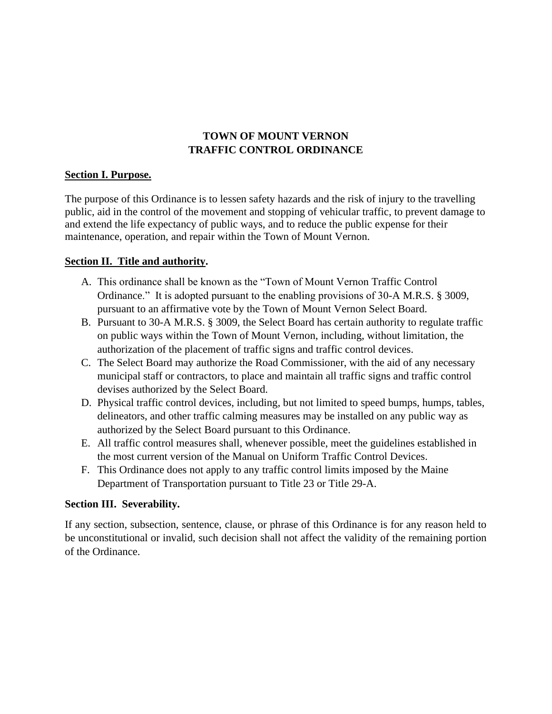## **TOWN OF MOUNT VERNON TRAFFIC CONTROL ORDINANCE**

#### **Section I. Purpose.**

The purpose of this Ordinance is to lessen safety hazards and the risk of injury to the travelling public, aid in the control of the movement and stopping of vehicular traffic, to prevent damage to and extend the life expectancy of public ways, and to reduce the public expense for their maintenance, operation, and repair within the Town of Mount Vernon.

#### **Section II. Title and authority.**

- A. This ordinance shall be known as the "Town of Mount Vernon Traffic Control Ordinance." It is adopted pursuant to the enabling provisions of 30-A M.R.S. § 3009, pursuant to an affirmative vote by the Town of Mount Vernon Select Board.
- B. Pursuant to 30-A M.R.S. § 3009, the Select Board has certain authority to regulate traffic on public ways within the Town of Mount Vernon, including, without limitation, the authorization of the placement of traffic signs and traffic control devices.
- C. The Select Board may authorize the Road Commissioner, with the aid of any necessary municipal staff or contractors, to place and maintain all traffic signs and traffic control devises authorized by the Select Board.
- D. Physical traffic control devices, including, but not limited to speed bumps, humps, tables, delineators, and other traffic calming measures may be installed on any public way as authorized by the Select Board pursuant to this Ordinance.
- E. All traffic control measures shall, whenever possible, meet the guidelines established in the most current version of the Manual on Uniform Traffic Control Devices.
- F. This Ordinance does not apply to any traffic control limits imposed by the Maine Department of Transportation pursuant to Title 23 or Title 29-A.

### **Section III. Severability.**

If any section, subsection, sentence, clause, or phrase of this Ordinance is for any reason held to be unconstitutional or invalid, such decision shall not affect the validity of the remaining portion of the Ordinance.